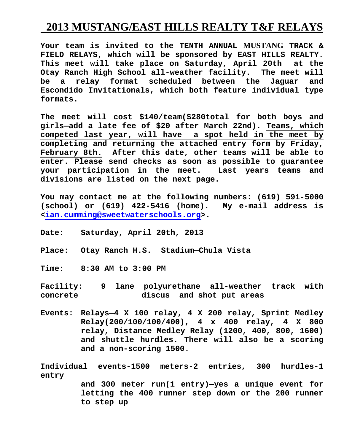## **2013 MUSTANG/EAST HILLS REALTY T&F RELAYS**

**Your team is invited to the TENTH ANNUAL MUSTANG TRACK & FIELD RELAYS, which will be sponsored by EAST HILLS REALTY. This meet will take place on Saturday, April 20th at the Otay Ranch High School all-weather facility. The meet will be a relay format scheduled between the Jaguar and Escondido Invitationals, which both feature individual type formats.**

**The meet will cost \$140/team(\$280total for both boys and girls—add a late fee of \$20 after March 22nd). Teams, which competed last year, will have a spot held in the meet by completing and returning the attached entry form by Friday, February 8th. After this date, other teams will be able to enter. Please send checks as soon as possible to guarantee your participation in the meet. Last years teams and divisions are listed on the next page.** 

**You may contact me at the following numbers: (619) 591-5000 (school) or (619) 422-5416 (home). My e-mail address is [<ian.cumming@sweetwaterschools.org>](mailto:ian.cumming@sweetwaterschools.org.k12.ca.us).**

- **Date: Saturday, April 20th, 2013**
- **Place: Otay Ranch H.S. Stadium—Chula Vista**

**Time: 8:30 AM to 3:00 PM**

**Facility: 9 lane polyurethane all-weather track with concrete discus and shot put areas**

**Events: Relays—4 X 100 relay, 4 X 200 relay, Sprint Medley Relay(200/100/100/400), 4 x 400 relay, 4 X 800 relay, Distance Medley Relay (1200, 400, 800, 1600) and shuttle hurdles. There will also be a scoring and a non-scoring 1500.** 

**Individual events-1500 meters-2 entries, 300 hurdles-1 entry** 

**and 300 meter run(1 entry)—yes a unique event for letting the 400 runner step down or the 200 runner to step up**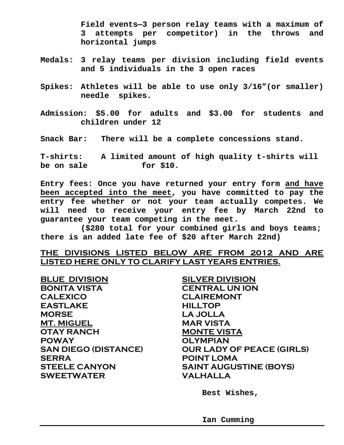**Field events—3 person relay teams with a maximum of 3 attempts per competitor) in the throws and horizontal jumps**

- **Medals: 3 relay teams per division including field events and 5 individuals in the 3 open races**
- **Spikes: Athletes will be able to use only 3/16"(or smaller) needle spikes.**
- **Admission: \$5.00 for adults and \$3.00 for students and children under 12**

**Snack Bar: There will be a complete concessions stand.**

**T-shirts: A limited amount of high quality t-shirts will be on sale for \$10.**

**Entry fees: Once you have returned your entry form and have been accepted into the meet, you have committed to pay the entry fee whether or not your team actually competes. We will need to receive your entry fee by March 22nd to guarantee your team competing in the meet.** 

**(\$280 total for your combined girls and boys teams; there is an added late fee of \$20 after March 22nd)** 

## **THE DIVISIONS LISTED BELOW ARE FROM 2012 AND ARE LISTED HERE ONLY TO CLARIFY LAST YEARS ENTRIES.**

**BLUE DIVISION SILVER DIVISION BONITA VISTA CENTRAL UN ION CALEXICO CLAIREMONT EASTLAKE HILLTOP MORSE LA JOLLA MT. MIGUEL MAR VISTA OTAY RANCH MONTE VISTA POWAY OLYMPIAN SERRA POINT LOMA SWEETWATER VALHALLA**

**SAN DIEGO (DISTANCE) OUR LADY OF PEACE (GIRLS) STEELE CANYON SAINT AUGUSTINE (BOYS)**

**Best Wishes,**

**Ian Cumming**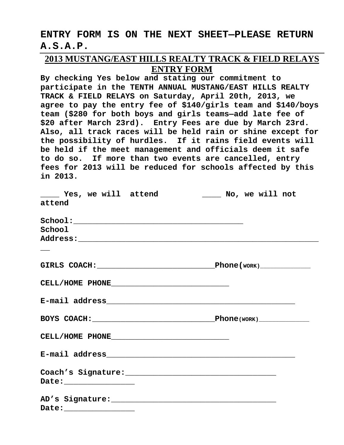## **ENTRY FORM IS ON THE NEXT SHEET—PLEASE RETURN A.S.A.P.**

## **2013 MUSTANG/EAST HILLS REALTY TRACK & FIELD RELAYS ENTRY FORM**

**By checking Yes below and stating our commitment to participate in the TENTH ANNUAL MUSTANG/EAST HILLS REALTY TRACK & FIELD RELAYS on Saturday, April 20th, 2013, we agree to pay the entry fee of \$140/girls team and \$140/boys team (\$280 for both boys and girls teams—add late fee of \$20 after March 23rd). Entry Fees are due by March 23rd. Also, all track races will be held rain or shine except for the possibility of hurdles. If it rains field events will be held if the meet management and officials deem it safe to do so. If more than two events are cancelled, entry fees for 2013 will be reduced for schools affected by this in 2013.**

|                                                                                                                                                                                                                                                                                                                                                                                                                                                                                         | _____ Yes, we will attend _______ No, we will not |
|-----------------------------------------------------------------------------------------------------------------------------------------------------------------------------------------------------------------------------------------------------------------------------------------------------------------------------------------------------------------------------------------------------------------------------------------------------------------------------------------|---------------------------------------------------|
| attend                                                                                                                                                                                                                                                                                                                                                                                                                                                                                  |                                                   |
|                                                                                                                                                                                                                                                                                                                                                                                                                                                                                         |                                                   |
| School                                                                                                                                                                                                                                                                                                                                                                                                                                                                                  |                                                   |
|                                                                                                                                                                                                                                                                                                                                                                                                                                                                                         |                                                   |
|                                                                                                                                                                                                                                                                                                                                                                                                                                                                                         |                                                   |
|                                                                                                                                                                                                                                                                                                                                                                                                                                                                                         |                                                   |
| $\texttt{CELL/HOME} \quad \texttt{PHONE} \qquad \qquad \qquad \texttt{MENT} \qquad \qquad \texttt{MENT} \qquad \qquad \texttt{SVD} \qquad \qquad \texttt{SVD} \qquad \qquad \texttt{SVD} \qquad \qquad \texttt{SVD} \qquad \qquad \texttt{SVD} \qquad \qquad \texttt{SVD} \qquad \qquad \texttt{SVD} \qquad \qquad \texttt{SVD} \qquad \qquad \texttt{SVD} \qquad \qquad \texttt{SVD} \qquad \qquad \texttt{SVD} \qquad \qquad \texttt{SVD} \qquad \qquad \texttt{SVD} \qquad \qquad \$ |                                                   |
|                                                                                                                                                                                                                                                                                                                                                                                                                                                                                         |                                                   |
|                                                                                                                                                                                                                                                                                                                                                                                                                                                                                         | BOYS COACH: Phone(WORK)                           |
| $\label{cELL} \texttt{CELL/HOME PHONE} \underbrace{\hspace{0.5cm}}$                                                                                                                                                                                                                                                                                                                                                                                                                     |                                                   |
|                                                                                                                                                                                                                                                                                                                                                                                                                                                                                         |                                                   |
|                                                                                                                                                                                                                                                                                                                                                                                                                                                                                         |                                                   |
| Date: __________________                                                                                                                                                                                                                                                                                                                                                                                                                                                                |                                                   |
|                                                                                                                                                                                                                                                                                                                                                                                                                                                                                         |                                                   |
| Date: _________________                                                                                                                                                                                                                                                                                                                                                                                                                                                                 |                                                   |